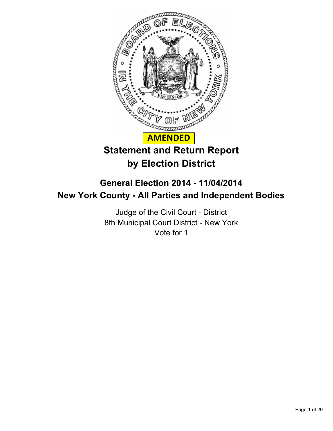

# **General Election 2014 - 11/04/2014 New York County - All Parties and Independent Bodies**

Judge of the Civil Court - District 8th Municipal Court District - New York Vote for 1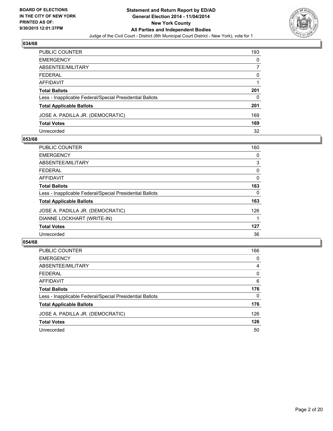

| PUBLIC COUNTER                                           | 193 |
|----------------------------------------------------------|-----|
| EMERGENCY                                                | 0   |
| ABSENTEE/MILITARY                                        |     |
| FEDERAL                                                  | 0   |
| AFFIDAVIT                                                |     |
| Total Ballots                                            | 201 |
| Less - Inapplicable Federal/Special Presidential Ballots | 0   |
| <b>Total Applicable Ballots</b>                          | 201 |
| JOSE A. PADILLA JR. (DEMOCRATIC)                         | 169 |
| <b>Total Votes</b>                                       | 169 |
| Unrecorded                                               | 32  |

## **053/68**

| PUBLIC COUNTER                                           | 160 |
|----------------------------------------------------------|-----|
| <b>EMERGENCY</b>                                         | 0   |
| ABSENTEE/MILITARY                                        | 3   |
| <b>FEDERAL</b>                                           | 0   |
| AFFIDAVIT                                                | 0   |
| <b>Total Ballots</b>                                     | 163 |
| Less - Inapplicable Federal/Special Presidential Ballots | 0   |
| <b>Total Applicable Ballots</b>                          | 163 |
| JOSE A. PADILLA JR. (DEMOCRATIC)                         | 126 |
| DIANNE LOCKHART (WRITE-IN)                               |     |
| <b>Total Votes</b>                                       | 127 |
| Unrecorded                                               | 36  |
|                                                          |     |

| <b>PUBLIC COUNTER</b>                                    | 166      |
|----------------------------------------------------------|----------|
| <b>EMERGENCY</b>                                         | 0        |
| ABSENTEE/MILITARY                                        | 4        |
| <b>FEDERAL</b>                                           | 0        |
| AFFIDAVIT                                                | 6        |
| <b>Total Ballots</b>                                     | 176      |
| Less - Inapplicable Federal/Special Presidential Ballots | $\Omega$ |
| <b>Total Applicable Ballots</b>                          | 176      |
| JOSE A. PADILLA JR. (DEMOCRATIC)                         | 126      |
| <b>Total Votes</b>                                       | 126      |
| Unrecorded                                               | 50       |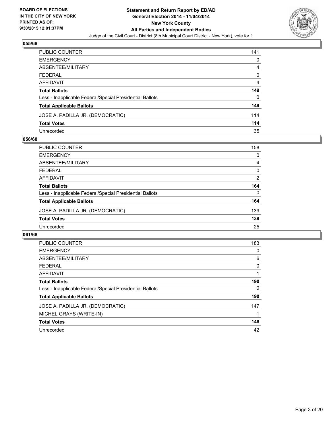

| PUBLIC COUNTER                                           | 141 |
|----------------------------------------------------------|-----|
| EMERGENCY                                                | 0   |
| ABSENTEE/MILITARY                                        | 4   |
| FEDERAL                                                  | 0   |
| AFFIDAVIT                                                | 4   |
| Total Ballots                                            | 149 |
| Less - Inapplicable Federal/Special Presidential Ballots | 0   |
| <b>Total Applicable Ballots</b>                          | 149 |
| JOSE A. PADILLA JR. (DEMOCRATIC)                         | 114 |
| <b>Total Votes</b>                                       | 114 |
| Unrecorded                                               | 35  |

## **056/68**

| <b>PUBLIC COUNTER</b>                                    | 158      |
|----------------------------------------------------------|----------|
| <b>EMERGENCY</b>                                         | 0        |
| ABSENTEE/MILITARY                                        | 4        |
| <b>FEDERAL</b>                                           | 0        |
| <b>AFFIDAVIT</b>                                         | 2        |
| <b>Total Ballots</b>                                     | 164      |
| Less - Inapplicable Federal/Special Presidential Ballots | $\Omega$ |
| <b>Total Applicable Ballots</b>                          | 164      |
| JOSE A. PADILLA JR. (DEMOCRATIC)                         | 139      |
| <b>Total Votes</b>                                       | 139      |
| Unrecorded                                               | 25       |
|                                                          |          |

| <b>PUBLIC COUNTER</b>                                    | 183 |
|----------------------------------------------------------|-----|
| <b>EMERGENCY</b>                                         | 0   |
| ABSENTEE/MILITARY                                        | 6   |
| <b>FEDERAL</b>                                           | 0   |
| <b>AFFIDAVIT</b>                                         |     |
| <b>Total Ballots</b>                                     | 190 |
| Less - Inapplicable Federal/Special Presidential Ballots | 0   |
| <b>Total Applicable Ballots</b>                          | 190 |
| JOSE A. PADILLA JR. (DEMOCRATIC)                         | 147 |
| MICHEL GRAYS (WRITE-IN)                                  |     |
| <b>Total Votes</b>                                       | 148 |
| Unrecorded                                               | 42  |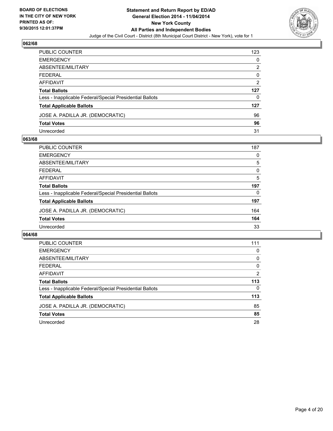

| PUBLIC COUNTER                                           | 123 |
|----------------------------------------------------------|-----|
| EMERGENCY                                                | 0   |
| ABSENTEE/MILITARY                                        | 2   |
| FEDERAL                                                  | 0   |
| AFFIDAVIT                                                | 2   |
| Total Ballots                                            | 127 |
| Less - Inapplicable Federal/Special Presidential Ballots | 0   |
| <b>Total Applicable Ballots</b>                          | 127 |
| JOSE A. PADILLA JR. (DEMOCRATIC)                         | 96  |
| <b>Total Votes</b>                                       | 96  |
| Unrecorded                                               | 31  |

## **063/68**

| <b>PUBLIC COUNTER</b>                                    | 187      |
|----------------------------------------------------------|----------|
| <b>EMERGENCY</b>                                         | 0        |
| ABSENTEE/MILITARY                                        | 5        |
| <b>FEDERAL</b>                                           | 0        |
| <b>AFFIDAVIT</b>                                         | 5        |
| <b>Total Ballots</b>                                     | 197      |
| Less - Inapplicable Federal/Special Presidential Ballots | $\Omega$ |
| <b>Total Applicable Ballots</b>                          | 197      |
| JOSE A. PADILLA JR. (DEMOCRATIC)                         | 164      |
| <b>Total Votes</b>                                       | 164      |
| Unrecorded                                               | 33       |
|                                                          |          |

| <b>PUBLIC COUNTER</b>                                    | 111            |
|----------------------------------------------------------|----------------|
| <b>EMERGENCY</b>                                         | 0              |
| ABSENTEE/MILITARY                                        | 0              |
| <b>FEDERAL</b>                                           | $\Omega$       |
| <b>AFFIDAVIT</b>                                         | $\overline{2}$ |
| <b>Total Ballots</b>                                     | 113            |
| Less - Inapplicable Federal/Special Presidential Ballots | 0              |
| <b>Total Applicable Ballots</b>                          | 113            |
| JOSE A. PADILLA JR. (DEMOCRATIC)                         | 85             |
| <b>Total Votes</b>                                       | 85             |
| Unrecorded                                               | 28             |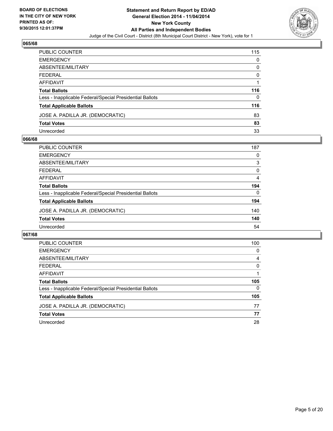

| PUBLIC COUNTER                                           | 115 |
|----------------------------------------------------------|-----|
| EMERGENCY                                                | 0   |
| ABSENTEE/MILITARY                                        | 0   |
| FEDERAL                                                  | 0   |
| AFFIDAVIT                                                |     |
| Total Ballots                                            | 116 |
| Less - Inapplicable Federal/Special Presidential Ballots | 0   |
| <b>Total Applicable Ballots</b>                          | 116 |
| JOSE A. PADILLA JR. (DEMOCRATIC)                         | 83  |
| <b>Total Votes</b>                                       | 83  |
| Unrecorded                                               | 33  |

## **066/68**

| <b>PUBLIC COUNTER</b>                                    | 187            |
|----------------------------------------------------------|----------------|
| <b>EMERGENCY</b>                                         | 0              |
| ABSENTEE/MILITARY                                        | 3              |
| <b>FEDERAL</b>                                           | 0              |
| AFFIDAVIT                                                | $\overline{4}$ |
| <b>Total Ballots</b>                                     | 194            |
| Less - Inapplicable Federal/Special Presidential Ballots | $\Omega$       |
| <b>Total Applicable Ballots</b>                          | 194            |
| JOSE A. PADILLA JR. (DEMOCRATIC)                         | 140            |
| <b>Total Votes</b>                                       | 140            |
| Unrecorded                                               | 54             |
|                                                          |                |

| <b>PUBLIC COUNTER</b>                                    | 100      |
|----------------------------------------------------------|----------|
| <b>EMERGENCY</b>                                         | 0        |
| ABSENTEE/MILITARY                                        | 4        |
| <b>FEDERAL</b>                                           | $\Omega$ |
| <b>AFFIDAVIT</b>                                         |          |
| <b>Total Ballots</b>                                     | 105      |
| Less - Inapplicable Federal/Special Presidential Ballots | 0        |
| <b>Total Applicable Ballots</b>                          | 105      |
| JOSE A. PADILLA JR. (DEMOCRATIC)                         | 77       |
| <b>Total Votes</b>                                       | 77       |
| Unrecorded                                               | 28       |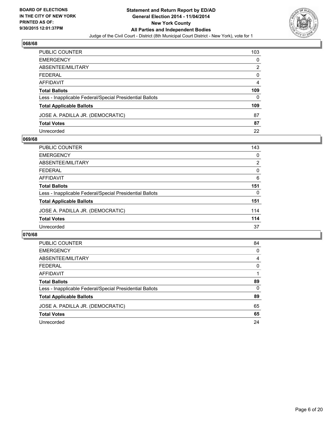

| PUBLIC COUNTER                                           | 103 |
|----------------------------------------------------------|-----|
| EMERGENCY                                                | 0   |
| ABSENTEE/MILITARY                                        | 2   |
| FEDERAL                                                  | 0   |
| AFFIDAVIT                                                | 4   |
| Total Ballots                                            | 109 |
| Less - Inapplicable Federal/Special Presidential Ballots | 0   |
| <b>Total Applicable Ballots</b>                          | 109 |
| JOSE A. PADILLA JR. (DEMOCRATIC)                         | 87  |
| <b>Total Votes</b>                                       | 87  |
| Unrecorded                                               | 22  |

## **069/68**

| <b>PUBLIC COUNTER</b>                                    | 143            |
|----------------------------------------------------------|----------------|
| <b>EMERGENCY</b>                                         | 0              |
| ABSENTEE/MILITARY                                        | $\overline{2}$ |
| <b>FEDERAL</b>                                           | 0              |
| <b>AFFIDAVIT</b>                                         | 6              |
| <b>Total Ballots</b>                                     | 151            |
| Less - Inapplicable Federal/Special Presidential Ballots | $\Omega$       |
| <b>Total Applicable Ballots</b>                          | 151            |
| JOSE A. PADILLA JR. (DEMOCRATIC)                         | 114            |
| <b>Total Votes</b>                                       | 114            |
| Unrecorded                                               | 37             |
|                                                          |                |

| <b>PUBLIC COUNTER</b>                                    | 84 |
|----------------------------------------------------------|----|
| <b>EMERGENCY</b>                                         | 0  |
| ABSENTEE/MILITARY                                        | 4  |
| <b>FEDERAL</b>                                           | 0  |
| <b>AFFIDAVIT</b>                                         |    |
| <b>Total Ballots</b>                                     | 89 |
| Less - Inapplicable Federal/Special Presidential Ballots | 0  |
| <b>Total Applicable Ballots</b>                          | 89 |
| JOSE A. PADILLA JR. (DEMOCRATIC)                         | 65 |
| <b>Total Votes</b>                                       | 65 |
| Unrecorded                                               | 24 |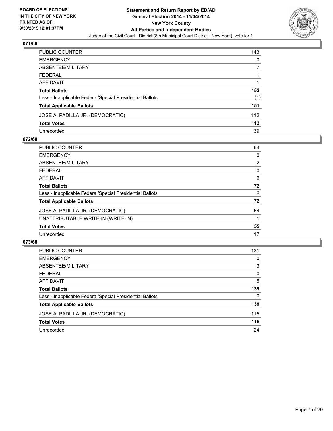

| PUBLIC COUNTER                                           | 143 |
|----------------------------------------------------------|-----|
| EMERGENCY                                                | 0   |
| ABSENTEE/MILITARY                                        |     |
| FEDERAL                                                  |     |
| AFFIDAVIT                                                |     |
| Total Ballots                                            | 152 |
| Less - Inapplicable Federal/Special Presidential Ballots | (1) |
| <b>Total Applicable Ballots</b>                          | 151 |
| JOSE A. PADILLA JR. (DEMOCRATIC)                         | 112 |
| Total Votes                                              | 112 |
| Unrecorded                                               | 39  |

## **072/68**

| PUBLIC COUNTER                                           | 64 |
|----------------------------------------------------------|----|
| <b>EMERGENCY</b>                                         | 0  |
| ABSENTEE/MILITARY                                        | 2  |
| <b>FEDERAL</b>                                           | 0  |
| <b>AFFIDAVIT</b>                                         | 6  |
| <b>Total Ballots</b>                                     | 72 |
| Less - Inapplicable Federal/Special Presidential Ballots | 0  |
| <b>Total Applicable Ballots</b>                          | 72 |
| JOSE A. PADILLA JR. (DEMOCRATIC)                         | 54 |
| UNATTRIBUTABLE WRITE-IN (WRITE-IN)                       |    |
| <b>Total Votes</b>                                       | 55 |
| Unrecorded                                               | 17 |
|                                                          |    |

| <b>PUBLIC COUNTER</b>                                    | 131      |
|----------------------------------------------------------|----------|
| <b>EMERGENCY</b>                                         | 0        |
| ABSENTEE/MILITARY                                        | 3        |
| <b>FEDERAL</b>                                           | 0        |
| AFFIDAVIT                                                | 5        |
| <b>Total Ballots</b>                                     | 139      |
| Less - Inapplicable Federal/Special Presidential Ballots | $\Omega$ |
| <b>Total Applicable Ballots</b>                          | 139      |
| JOSE A. PADILLA JR. (DEMOCRATIC)                         | 115      |
| <b>Total Votes</b>                                       | 115      |
| Unrecorded                                               | 24       |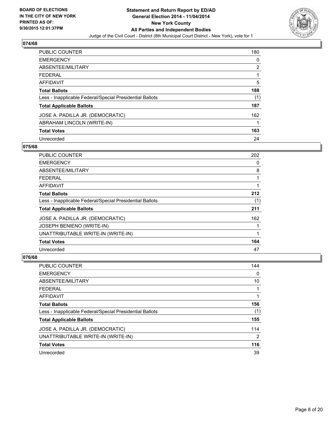

| PUBLIC COUNTER                                           | 180            |
|----------------------------------------------------------|----------------|
| <b>EMERGENCY</b>                                         | 0              |
| <b>ABSENTEE/MILITARY</b>                                 | $\overline{2}$ |
| <b>FEDERAL</b>                                           |                |
| <b>AFFIDAVIT</b>                                         | 5              |
| <b>Total Ballots</b>                                     | 188            |
| Less - Inapplicable Federal/Special Presidential Ballots | (1)            |
| <b>Total Applicable Ballots</b>                          | 187            |
| JOSE A. PADILLA JR. (DEMOCRATIC)                         | 162            |
| ABRAHAM LINCOLN (WRITE-IN)                               |                |
| <b>Total Votes</b>                                       | 163            |
| Unrecorded                                               | 24             |

## **075/68**

| <b>PUBLIC COUNTER</b>                                    | 202 |
|----------------------------------------------------------|-----|
| <b>EMERGENCY</b>                                         | 0   |
| ABSENTEE/MILITARY                                        | 8   |
| <b>FEDERAL</b>                                           |     |
| AFFIDAVIT                                                |     |
| <b>Total Ballots</b>                                     | 212 |
| Less - Inapplicable Federal/Special Presidential Ballots | (1) |
| <b>Total Applicable Ballots</b>                          | 211 |
| JOSE A. PADILLA JR. (DEMOCRATIC)                         | 162 |
| JOSEPH BENIENO (WRITE-IN)                                |     |
| UNATTRIBUTABLE WRITE-IN (WRITE-IN)                       |     |
| <b>Total Votes</b>                                       | 164 |
| Unrecorded                                               | 47  |

| PUBLIC COUNTER                                           | 144            |
|----------------------------------------------------------|----------------|
| <b>EMERGENCY</b>                                         | 0              |
| ABSENTEE/MILITARY                                        | 10             |
| <b>FEDERAL</b>                                           |                |
| AFFIDAVIT                                                |                |
| <b>Total Ballots</b>                                     | 156            |
| Less - Inapplicable Federal/Special Presidential Ballots | (1)            |
| <b>Total Applicable Ballots</b>                          | 155            |
| JOSE A. PADILLA JR. (DEMOCRATIC)                         | 114            |
| UNATTRIBUTABLE WRITE-IN (WRITE-IN)                       | $\overline{2}$ |
| <b>Total Votes</b>                                       | 116            |
| Unrecorded                                               | 39             |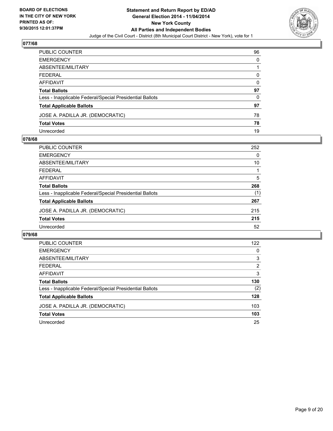

| PUBLIC COUNTER                                           | 96 |
|----------------------------------------------------------|----|
| EMERGENCY                                                | 0  |
| ABSENTEE/MILITARY                                        |    |
| FEDERAL                                                  | 0  |
| AFFIDAVIT                                                | 0  |
| Total Ballots                                            | 97 |
| Less - Inapplicable Federal/Special Presidential Ballots | 0  |
| <b>Total Applicable Ballots</b>                          | 97 |
| JOSE A. PADILLA JR. (DEMOCRATIC)                         | 78 |
| <b>Total Votes</b>                                       | 78 |
| Unrecorded                                               | 19 |

## **078/68**

| <b>PUBLIC COUNTER</b>                                    | 252 |
|----------------------------------------------------------|-----|
| <b>EMERGENCY</b>                                         | 0   |
| ABSENTEE/MILITARY                                        | 10  |
| <b>FEDERAL</b>                                           |     |
| AFFIDAVIT                                                | 5   |
| <b>Total Ballots</b>                                     | 268 |
| Less - Inapplicable Federal/Special Presidential Ballots | (1) |
| <b>Total Applicable Ballots</b>                          | 267 |
| JOSE A. PADILLA JR. (DEMOCRATIC)                         | 215 |
| <b>Total Votes</b>                                       | 215 |
| Unrecorded                                               | 52  |
|                                                          |     |

| <b>PUBLIC COUNTER</b>                                    | 122 |
|----------------------------------------------------------|-----|
| <b>EMERGENCY</b>                                         | 0   |
| ABSENTEE/MILITARY                                        | 3   |
| <b>FEDERAL</b>                                           | 2   |
| <b>AFFIDAVIT</b>                                         | 3   |
| <b>Total Ballots</b>                                     | 130 |
| Less - Inapplicable Federal/Special Presidential Ballots | (2) |
| <b>Total Applicable Ballots</b>                          | 128 |
| JOSE A. PADILLA JR. (DEMOCRATIC)                         | 103 |
| <b>Total Votes</b>                                       | 103 |
| Unrecorded                                               | 25  |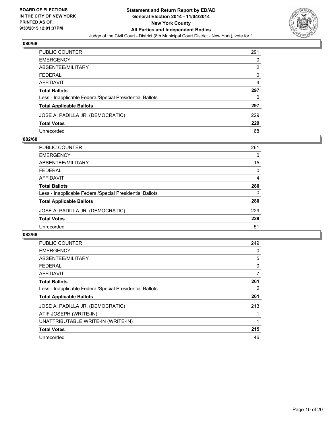

| PUBLIC COUNTER                                           | 291 |
|----------------------------------------------------------|-----|
| EMERGENCY                                                | 0   |
| ABSENTEE/MILITARY                                        | 2   |
| FEDERAL                                                  | 0   |
| AFFIDAVIT                                                | 4   |
| Total Ballots                                            | 297 |
| Less - Inapplicable Federal/Special Presidential Ballots | 0   |
| <b>Total Applicable Ballots</b>                          | 297 |
| JOSE A. PADILLA JR. (DEMOCRATIC)                         | 229 |
| Total Votes                                              | 229 |
| Unrecorded                                               | 68  |

## **082/68**

| <b>PUBLIC COUNTER</b>                                    | 261      |
|----------------------------------------------------------|----------|
| <b>EMERGENCY</b>                                         | 0        |
| ABSENTEE/MILITARY                                        | 15       |
| <b>FEDERAL</b>                                           | $\Omega$ |
| AFFIDAVIT                                                | 4        |
| <b>Total Ballots</b>                                     | 280      |
| Less - Inapplicable Federal/Special Presidential Ballots | $\Omega$ |
| <b>Total Applicable Ballots</b>                          | 280      |
| JOSE A. PADILLA JR. (DEMOCRATIC)                         | 229      |
| <b>Total Votes</b>                                       | 229      |
| Unrecorded                                               | 51       |
|                                                          |          |

| <b>PUBLIC COUNTER</b>                                    | 249 |
|----------------------------------------------------------|-----|
| <b>EMERGENCY</b>                                         | 0   |
| ABSENTEE/MILITARY                                        | 5   |
| <b>FEDERAL</b>                                           | 0   |
| <b>AFFIDAVIT</b>                                         | 7   |
| <b>Total Ballots</b>                                     | 261 |
| Less - Inapplicable Federal/Special Presidential Ballots | 0   |
| <b>Total Applicable Ballots</b>                          | 261 |
| JOSE A. PADILLA JR. (DEMOCRATIC)                         | 213 |
| ATIF JOSEPH (WRITE-IN)                                   |     |
| UNATTRIBUTABLE WRITE-IN (WRITE-IN)                       | 1   |
| <b>Total Votes</b>                                       | 215 |
| Unrecorded                                               | 46  |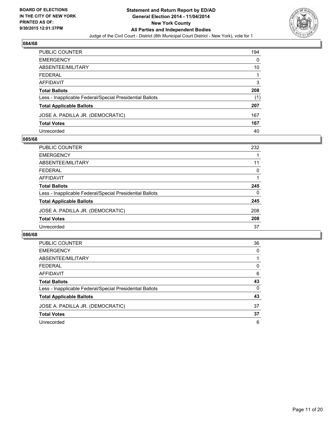

| PUBLIC COUNTER                                           | 194 |
|----------------------------------------------------------|-----|
| EMERGENCY                                                | 0   |
| ABSENTEE/MILITARY                                        | 10  |
| FEDERAL                                                  |     |
| AFFIDAVIT                                                | 3   |
| Total Ballots                                            | 208 |
| Less - Inapplicable Federal/Special Presidential Ballots | (1) |
| <b>Total Applicable Ballots</b>                          | 207 |
| JOSE A. PADILLA JR. (DEMOCRATIC)                         | 167 |
| Total Votes                                              | 167 |
| Unrecorded                                               | 40  |

## **085/68**

| <b>PUBLIC COUNTER</b>                                    | 232 |
|----------------------------------------------------------|-----|
| <b>EMERGENCY</b>                                         |     |
| ABSENTEE/MILITARY                                        | 11  |
| <b>FEDERAL</b>                                           | 0   |
| AFFIDAVIT                                                |     |
| <b>Total Ballots</b>                                     | 245 |
| Less - Inapplicable Federal/Special Presidential Ballots | 0   |
| <b>Total Applicable Ballots</b>                          | 245 |
| JOSE A. PADILLA JR. (DEMOCRATIC)                         | 208 |
| <b>Total Votes</b>                                       | 208 |
| Unrecorded                                               | 37  |
|                                                          |     |

| <b>PUBLIC COUNTER</b>                                    | 36 |
|----------------------------------------------------------|----|
| <b>EMERGENCY</b>                                         | 0  |
| ABSENTEE/MILITARY                                        |    |
| <b>FEDERAL</b>                                           | 0  |
| AFFIDAVIT                                                | 6  |
| <b>Total Ballots</b>                                     | 43 |
| Less - Inapplicable Federal/Special Presidential Ballots | 0  |
| <b>Total Applicable Ballots</b>                          | 43 |
| JOSE A. PADILLA JR. (DEMOCRATIC)                         | 37 |
| <b>Total Votes</b>                                       | 37 |
| Unrecorded                                               | 6  |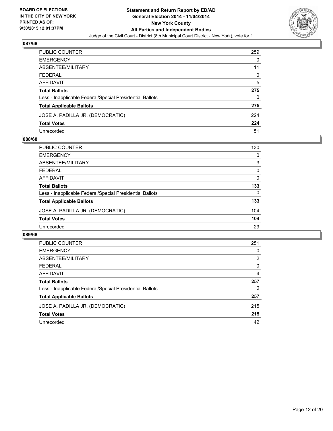

| PUBLIC COUNTER                                           | 259 |
|----------------------------------------------------------|-----|
| EMERGENCY                                                | 0   |
| ABSENTEE/MILITARY                                        | 11  |
| FEDERAL                                                  | 0   |
| AFFIDAVIT                                                | 5   |
| Total Ballots                                            | 275 |
| Less - Inapplicable Federal/Special Presidential Ballots | 0   |
| <b>Total Applicable Ballots</b>                          | 275 |
| JOSE A. PADILLA JR. (DEMOCRATIC)                         | 224 |
| <b>Total Votes</b>                                       | 224 |
| Unrecorded                                               | 51  |

## **088/68**

| <b>PUBLIC COUNTER</b>                                    | 130          |
|----------------------------------------------------------|--------------|
| <b>EMERGENCY</b>                                         | 0            |
| ABSENTEE/MILITARY                                        | 3            |
| <b>FEDERAL</b>                                           | 0            |
| <b>AFFIDAVIT</b>                                         | $\mathbf{0}$ |
| <b>Total Ballots</b>                                     | 133          |
| Less - Inapplicable Federal/Special Presidential Ballots | $\Omega$     |
| <b>Total Applicable Ballots</b>                          | 133          |
| JOSE A. PADILLA JR. (DEMOCRATIC)                         | 104          |
| <b>Total Votes</b>                                       | 104          |
| Unrecorded                                               | 29           |
|                                                          |              |

| <b>PUBLIC COUNTER</b>                                    | 251            |
|----------------------------------------------------------|----------------|
| <b>EMERGENCY</b>                                         | 0              |
| ABSENTEE/MILITARY                                        | $\overline{2}$ |
| <b>FEDERAL</b>                                           | 0              |
| <b>AFFIDAVIT</b>                                         | 4              |
| <b>Total Ballots</b>                                     | 257            |
| Less - Inapplicable Federal/Special Presidential Ballots | 0              |
| <b>Total Applicable Ballots</b>                          | 257            |
| JOSE A. PADILLA JR. (DEMOCRATIC)                         | 215            |
| <b>Total Votes</b>                                       | 215            |
| Unrecorded                                               | 42             |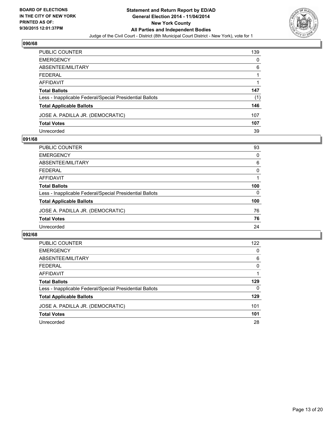

| PUBLIC COUNTER                                           | 139 |
|----------------------------------------------------------|-----|
| EMERGENCY                                                | 0   |
| ABSENTEE/MILITARY                                        | 6   |
| FEDERAL                                                  |     |
| AFFIDAVIT                                                |     |
| Total Ballots                                            | 147 |
| Less - Inapplicable Federal/Special Presidential Ballots | (1) |
| <b>Total Applicable Ballots</b>                          | 146 |
| JOSE A. PADILLA JR. (DEMOCRATIC)                         | 107 |
| <b>Total Votes</b>                                       | 107 |
| Unrecorded                                               | 39  |

## **091/68**

| <b>PUBLIC COUNTER</b>                                    | 93       |
|----------------------------------------------------------|----------|
| <b>EMERGENCY</b>                                         | $\Omega$ |
| ABSENTEE/MILITARY                                        | 6        |
| <b>FEDERAL</b>                                           | 0        |
| <b>AFFIDAVIT</b>                                         |          |
| <b>Total Ballots</b>                                     | 100      |
| Less - Inapplicable Federal/Special Presidential Ballots | $\Omega$ |
| <b>Total Applicable Ballots</b>                          | 100      |
| JOSE A. PADILLA JR. (DEMOCRATIC)                         | 76       |
| <b>Total Votes</b>                                       | 76       |
| Unrecorded                                               | 24       |
|                                                          |          |

| <b>PUBLIC COUNTER</b>                                    | 122      |
|----------------------------------------------------------|----------|
| <b>EMERGENCY</b>                                         | 0        |
| ABSENTEE/MILITARY                                        | 6        |
| <b>FEDERAL</b>                                           | $\Omega$ |
| <b>AFFIDAVIT</b>                                         |          |
| <b>Total Ballots</b>                                     | 129      |
| Less - Inapplicable Federal/Special Presidential Ballots | 0        |
| <b>Total Applicable Ballots</b>                          | 129      |
| JOSE A. PADILLA JR. (DEMOCRATIC)                         | 101      |
| <b>Total Votes</b>                                       | 101      |
| Unrecorded                                               | 28       |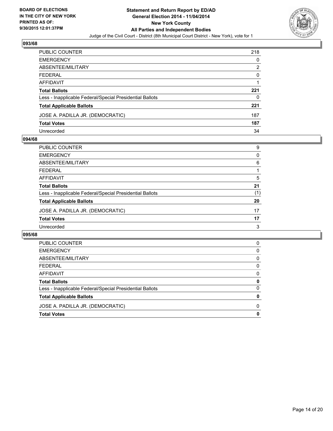

| PUBLIC COUNTER                                           | 218 |
|----------------------------------------------------------|-----|
| EMERGENCY                                                | 0   |
| ABSENTEE/MILITARY                                        | 2   |
| FEDERAL                                                  | 0   |
| AFFIDAVIT                                                |     |
| Total Ballots                                            | 221 |
| Less - Inapplicable Federal/Special Presidential Ballots | 0   |
| <b>Total Applicable Ballots</b>                          | 221 |
| JOSE A. PADILLA JR. (DEMOCRATIC)                         | 187 |
| Total Votes                                              | 187 |
| Unrecorded                                               | 34  |

## **094/68**

| PUBLIC COUNTER                                           | 9        |
|----------------------------------------------------------|----------|
| <b>EMERGENCY</b>                                         | $\Omega$ |
| <b>ABSENTEE/MILITARY</b>                                 | 6        |
| <b>FEDERAL</b>                                           |          |
| <b>AFFIDAVIT</b>                                         | 5        |
| <b>Total Ballots</b>                                     | 21       |
| Less - Inapplicable Federal/Special Presidential Ballots | (1)      |
| <b>Total Applicable Ballots</b>                          | 20       |
| JOSE A. PADILLA JR. (DEMOCRATIC)                         | 17       |
| <b>Total Votes</b>                                       | 17       |
| Unrecorded                                               | 3        |
|                                                          |          |

| JOSE A. PADILLA JR. (DEMOCRATIC)<br><b>Total Votes</b>   | 0        |
|----------------------------------------------------------|----------|
|                                                          | $\Omega$ |
| <b>Total Applicable Ballots</b>                          | 0        |
| Less - Inapplicable Federal/Special Presidential Ballots | 0        |
| <b>Total Ballots</b>                                     | 0        |
| AFFIDAVIT                                                | 0        |
| <b>FEDERAL</b>                                           | 0        |
| ABSENTEE/MILITARY                                        | 0        |
| <b>EMERGENCY</b>                                         | 0        |
| <b>PUBLIC COUNTER</b>                                    | 0        |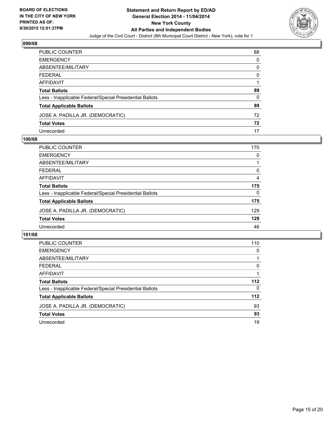

| PUBLIC COUNTER                                           | 88 |
|----------------------------------------------------------|----|
| EMERGENCY                                                | 0  |
| ABSENTEE/MILITARY                                        | 0  |
| FEDERAL                                                  | 0  |
| AFFIDAVIT                                                |    |
| Total Ballots                                            | 89 |
| Less - Inapplicable Federal/Special Presidential Ballots | 0  |
| <b>Total Applicable Ballots</b>                          | 89 |
| JOSE A. PADILLA JR. (DEMOCRATIC)                         | 72 |
| <b>Total Votes</b>                                       | 72 |
| Unrecorded                                               | 17 |

## **100/68**

| <b>PUBLIC COUNTER</b>                                    | 170      |
|----------------------------------------------------------|----------|
| <b>EMERGENCY</b>                                         | $\Omega$ |
| ABSENTEE/MILITARY                                        |          |
| <b>FEDERAL</b>                                           | 0        |
| <b>AFFIDAVIT</b>                                         | 4        |
| <b>Total Ballots</b>                                     | 175      |
| Less - Inapplicable Federal/Special Presidential Ballots | $\Omega$ |
| <b>Total Applicable Ballots</b>                          | 175      |
| JOSE A. PADILLA JR. (DEMOCRATIC)                         | 129      |
| <b>Total Votes</b>                                       | 129      |
| Unrecorded                                               | 46       |
|                                                          |          |

| <b>PUBLIC COUNTER</b>                                    | 110 |
|----------------------------------------------------------|-----|
| <b>EMERGENCY</b>                                         | 0   |
| ABSENTEE/MILITARY                                        |     |
| <b>FEDERAL</b>                                           | 0   |
| AFFIDAVIT                                                |     |
| <b>Total Ballots</b>                                     | 112 |
| Less - Inapplicable Federal/Special Presidential Ballots | 0   |
| <b>Total Applicable Ballots</b>                          | 112 |
| JOSE A. PADILLA JR. (DEMOCRATIC)                         | 93  |
| <b>Total Votes</b>                                       | 93  |
| Unrecorded                                               | 19  |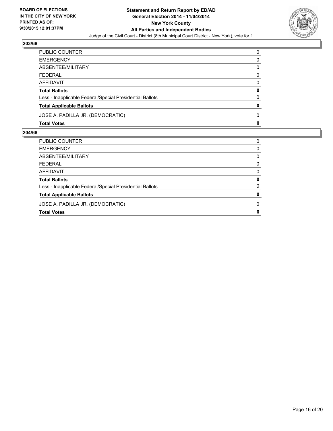

| PUBLIC COUNTER                                           | 0 |
|----------------------------------------------------------|---|
| <b>EMERGENCY</b>                                         | 0 |
| ABSENTEE/MILITARY                                        | 0 |
| <b>FEDERAL</b>                                           | 0 |
| <b>AFFIDAVIT</b>                                         | 0 |
| <b>Total Ballots</b>                                     | 0 |
| Less - Inapplicable Federal/Special Presidential Ballots | 0 |
| <b>Total Applicable Ballots</b>                          | 0 |
| JOSE A. PADILLA JR. (DEMOCRATIC)                         | 0 |
| <b>Total Votes</b>                                       | 0 |

| <b>Total Votes</b>                                       | 0        |
|----------------------------------------------------------|----------|
| JOSE A. PADILLA JR. (DEMOCRATIC)                         | $\Omega$ |
| <b>Total Applicable Ballots</b>                          | 0        |
| Less - Inapplicable Federal/Special Presidential Ballots | $\Omega$ |
| <b>Total Ballots</b>                                     | 0        |
| AFFIDAVIT                                                | 0        |
| <b>FEDERAL</b>                                           | $\Omega$ |
| ABSENTEE/MILITARY                                        | 0        |
| <b>EMERGENCY</b>                                         | 0        |
| PUBLIC COUNTER                                           | 0        |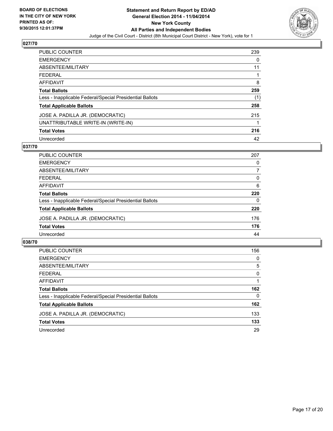

| <b>PUBLIC COUNTER</b>                                    | 239 |
|----------------------------------------------------------|-----|
| <b>EMERGENCY</b>                                         | 0   |
| <b>ABSENTEE/MILITARY</b>                                 | 11  |
| <b>FEDERAL</b>                                           |     |
| <b>AFFIDAVIT</b>                                         | 8   |
| <b>Total Ballots</b>                                     | 259 |
| Less - Inapplicable Federal/Special Presidential Ballots | (1) |
| <b>Total Applicable Ballots</b>                          | 258 |
| JOSE A. PADILLA JR. (DEMOCRATIC)                         | 215 |
| UNATTRIBUTABLE WRITE-IN (WRITE-IN)                       |     |
| <b>Total Votes</b>                                       | 216 |
| Unrecorded                                               | 42  |

## **037/70**

| <b>PUBLIC COUNTER</b>                                    | 207 |
|----------------------------------------------------------|-----|
| <b>EMERGENCY</b>                                         | 0   |
| ABSENTEE/MILITARY                                        | 7   |
| <b>FEDERAL</b>                                           | 0   |
| AFFIDAVIT                                                | 6   |
| <b>Total Ballots</b>                                     | 220 |
| Less - Inapplicable Federal/Special Presidential Ballots | 0   |
| <b>Total Applicable Ballots</b>                          | 220 |
| JOSE A. PADILLA JR. (DEMOCRATIC)                         | 176 |
| <b>Total Votes</b>                                       | 176 |
| Unrecorded                                               | 44  |
|                                                          |     |

| <b>PUBLIC COUNTER</b>                                    | 156 |
|----------------------------------------------------------|-----|
| <b>EMERGENCY</b>                                         | 0   |
| ABSENTEE/MILITARY                                        | 5   |
| <b>FEDERAL</b>                                           | 0   |
| AFFIDAVIT                                                |     |
| <b>Total Ballots</b>                                     | 162 |
| Less - Inapplicable Federal/Special Presidential Ballots | 0   |
| <b>Total Applicable Ballots</b>                          | 162 |
| JOSE A. PADILLA JR. (DEMOCRATIC)                         | 133 |
| <b>Total Votes</b>                                       | 133 |
| Unrecorded                                               | 29  |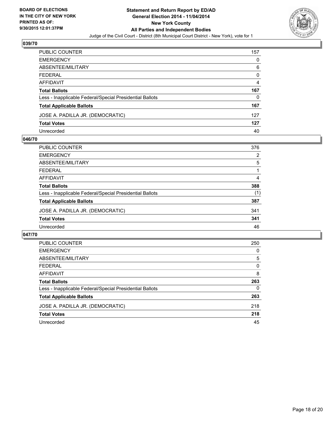

| PUBLIC COUNTER                                           | 157 |
|----------------------------------------------------------|-----|
| EMERGENCY                                                | 0   |
| ABSENTEE/MILITARY                                        | 6   |
| FEDERAL                                                  | 0   |
| AFFIDAVIT                                                | 4   |
| Total Ballots                                            | 167 |
| Less - Inapplicable Federal/Special Presidential Ballots | 0   |
| <b>Total Applicable Ballots</b>                          | 167 |
| JOSE A. PADILLA JR. (DEMOCRATIC)                         | 127 |
| Total Votes                                              | 127 |
| Unrecorded                                               | 40  |

## **046/70**

| <b>PUBLIC COUNTER</b>                                    | 376 |
|----------------------------------------------------------|-----|
| <b>EMERGENCY</b>                                         | 2   |
| ABSENTEE/MILITARY                                        | 5   |
| <b>FEDERAL</b>                                           |     |
| <b>AFFIDAVIT</b>                                         | 4   |
| <b>Total Ballots</b>                                     | 388 |
| Less - Inapplicable Federal/Special Presidential Ballots | (1) |
| <b>Total Applicable Ballots</b>                          | 387 |
| JOSE A. PADILLA JR. (DEMOCRATIC)                         | 341 |
| <b>Total Votes</b>                                       | 341 |
| Unrecorded                                               | 46  |
|                                                          |     |

| <b>PUBLIC COUNTER</b>                                    | 250 |
|----------------------------------------------------------|-----|
| <b>EMERGENCY</b>                                         | 0   |
| ABSENTEE/MILITARY                                        | 5   |
| <b>FEDERAL</b>                                           | 0   |
| <b>AFFIDAVIT</b>                                         | 8   |
| <b>Total Ballots</b>                                     | 263 |
| Less - Inapplicable Federal/Special Presidential Ballots | 0   |
| <b>Total Applicable Ballots</b>                          | 263 |
| JOSE A. PADILLA JR. (DEMOCRATIC)                         | 218 |
| <b>Total Votes</b>                                       | 218 |
| Unrecorded                                               | 45  |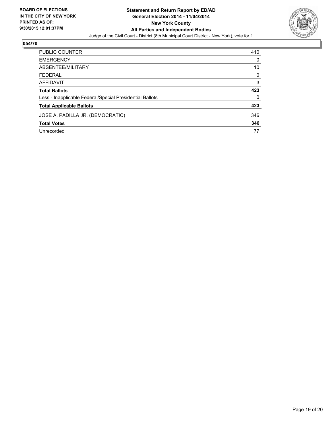

| PUBLIC COUNTER                                           | 410 |
|----------------------------------------------------------|-----|
| <b>EMERGENCY</b>                                         | 0   |
| ABSENTEE/MILITARY                                        | 10  |
| <b>FEDERAL</b>                                           | 0   |
| <b>AFFIDAVIT</b>                                         | 3   |
| <b>Total Ballots</b>                                     | 423 |
| Less - Inapplicable Federal/Special Presidential Ballots | 0   |
| <b>Total Applicable Ballots</b>                          | 423 |
| JOSE A. PADILLA JR. (DEMOCRATIC)                         | 346 |
| <b>Total Votes</b>                                       | 346 |
| Unrecorded                                               | 77  |